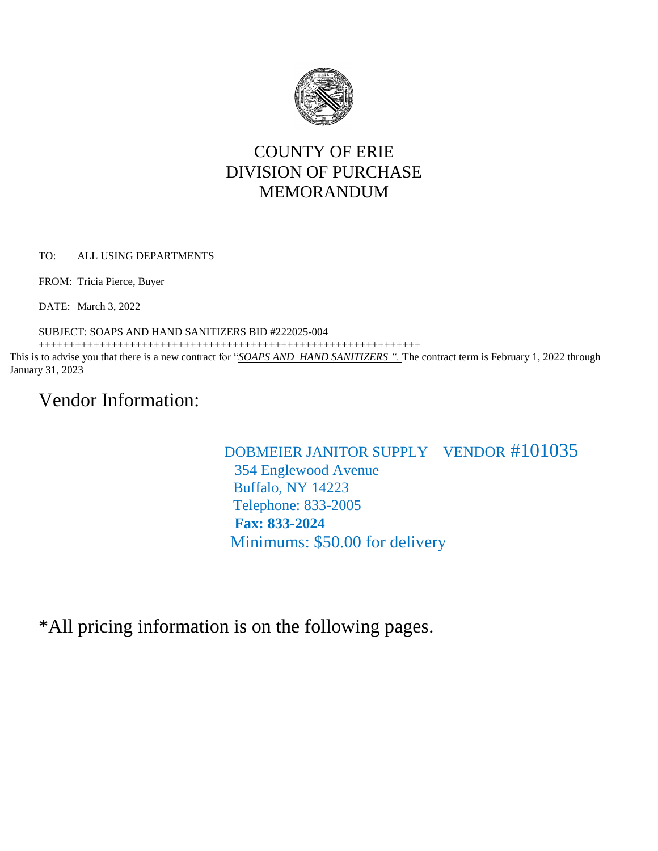

## COUNTY OF ERIE DIVISION OF PURCHASE MEMORANDUM

TO: ALL USING DEPARTMENTS

FROM: Tricia Pierce, Buyer

DATE: March 3, 2022

SUBJECT: SOAPS AND HAND SANITIZERS BID #222025-004

+++++++++++++++++++++++++++++++++++++++++++++++++++++++++++++++

This is to advise you that there is a new contract for "*SOAPS AND HAND SANITIZERS ".* The contract term is February 1, 2022 through January 31, 2023

# Vendor Information:

## DOBMEIER JANITOR SUPPLY VENDOR #101035 354 Englewood Avenue Buffalo, NY 14223 Telephone: 833-2005  **Fax: 833-2024** Minimums: \$50.00 for delivery

\*All pricing information is on the following pages.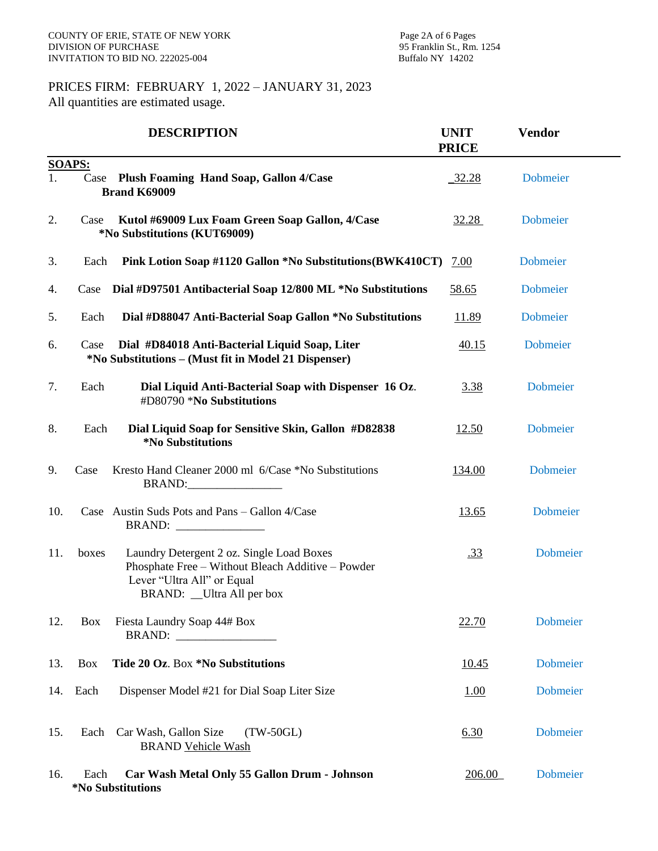### PRICES FIRM: FEBRUARY 1, 2022 – JANUARY 31, 2023 All quantities are estimated usage.

|     |               | <b>DESCRIPTION</b>                                                                                                                                        | <b>UNIT</b><br><b>PRICE</b> | <b>Vendor</b>   |  |
|-----|---------------|-----------------------------------------------------------------------------------------------------------------------------------------------------------|-----------------------------|-----------------|--|
|     | <b>SOAPS:</b> |                                                                                                                                                           |                             |                 |  |
| 1.  |               | Case Plush Foaming Hand Soap, Gallon 4/Case<br><b>Brand K69009</b>                                                                                        | 32.28                       | Dobmeier        |  |
| 2.  | Case          | Kutol #69009 Lux Foam Green Soap Gallon, 4/Case<br>*No Substitutions (KUT69009)                                                                           | 32.28                       | <b>Dobmeier</b> |  |
| 3.  | Each          | Pink Lotion Soap #1120 Gallon *No Substitutions (BWK410CT)                                                                                                | 7.00                        | Dobmeier        |  |
| 4.  | Case          | Dial #D97501 Antibacterial Soap 12/800 ML *No Substitutions                                                                                               | 58.65                       | <b>Dobmeier</b> |  |
| 5.  | Each          | Dial #D88047 Anti-Bacterial Soap Gallon *No Substitutions                                                                                                 | 11.89                       | <b>Dobmeier</b> |  |
| 6.  | Case          | Dial #D84018 Anti-Bacterial Liquid Soap, Liter<br>*No Substitutions – (Must fit in Model 21 Dispenser)                                                    | 40.15                       | Dobmeier        |  |
| 7.  | Each          | Dial Liquid Anti-Bacterial Soap with Dispenser 16 Oz.<br>#D80790 *No Substitutions                                                                        | 3.38                        | Dobmeier        |  |
| 8.  | Each          | Dial Liquid Soap for Sensitive Skin, Gallon #D82838<br>*No Substitutions                                                                                  | 12.50                       | Dobmeier        |  |
| 9.  | Case          | Kresto Hand Cleaner 2000 ml 6/Case *No Substitutions<br><b>BRAND:</b>                                                                                     | 134.00                      | Dobmeier        |  |
| 10. |               | Case Austin Suds Pots and Pans - Gallon 4/Case<br><b>BRAND:</b>                                                                                           | 13.65                       | Dobmeier        |  |
| 11. | boxes         | Laundry Detergent 2 oz. Single Load Boxes<br>Phosphate Free - Without Bleach Additive - Powder<br>Lever "Ultra All" or Equal<br>BRAND: _Ultra All per box | <u>.33</u>                  | <b>Dobmeier</b> |  |
| 12. | <b>Box</b>    | Fiesta Laundry Soap 44# Box                                                                                                                               | <u>22.70</u>                | Dobmeier        |  |
| 13. | Box           | Tide 20 Oz. Box *No Substitutions                                                                                                                         | 10.45                       | <b>Dobmeier</b> |  |
| 14. | Each          | Dispenser Model #21 for Dial Soap Liter Size                                                                                                              | <u>1.00</u>                 | <b>Dobmeier</b> |  |
| 15. | Each          | Car Wash, Gallon Size<br>$(TW-50GL)$<br><b>BRAND Vehicle Wash</b>                                                                                         | 6.30                        | Dobmeier        |  |
| 16. | Each          | Car Wash Metal Only 55 Gallon Drum - Johnson<br>*No Substitutions                                                                                         | 206.00                      | <b>Dobmeier</b> |  |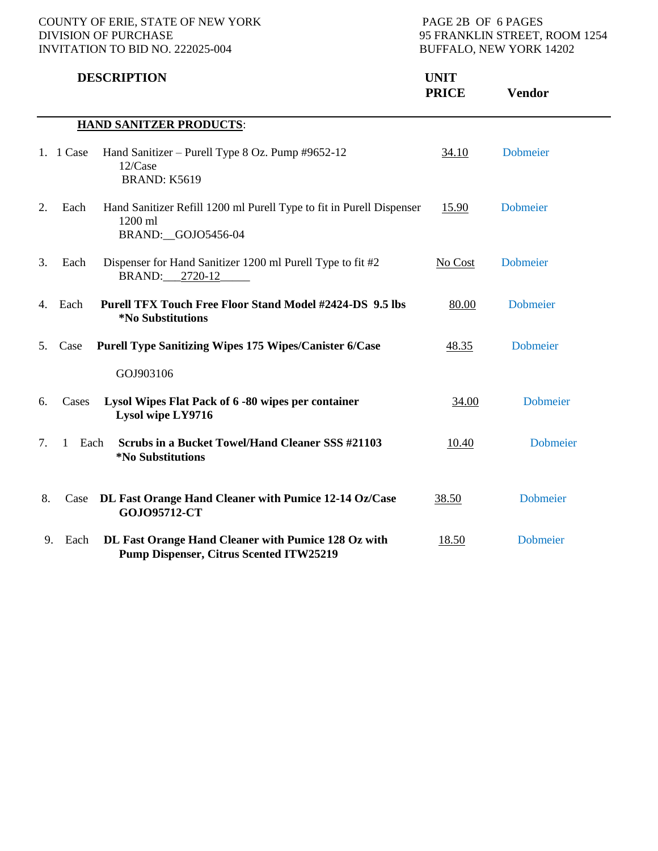|                                |             | <b>DESCRIPTION</b>                                                                                    | <b>UNIT</b><br><b>PRICE</b> | <b>Vendor</b>   |  |  |  |  |  |
|--------------------------------|-------------|-------------------------------------------------------------------------------------------------------|-----------------------------|-----------------|--|--|--|--|--|
| <b>HAND SANITZER PRODUCTS:</b> |             |                                                                                                       |                             |                 |  |  |  |  |  |
|                                | 1. $1$ Case | Hand Sanitizer – Purell Type 8 Oz. Pump #9652-12<br>12/Case<br>BRAND: K5619                           | 34.10                       | <b>Dobmeier</b> |  |  |  |  |  |
| 2.                             | Each        | Hand Sanitizer Refill 1200 ml Purell Type to fit in Purell Dispenser<br>1200 ml<br>BRAND: GOJO5456-04 | 15.90                       | Dobmeier        |  |  |  |  |  |
| 3.                             | Each        | Dispenser for Hand Sanitizer 1200 ml Purell Type to fit #2<br>BRAND: 2720-12                          | No Cost                     | Dobmeier        |  |  |  |  |  |
| 4.                             | Each        | <b>Purell TFX Touch Free Floor Stand Model #2424-DS 9.5 lbs</b><br>*No Substitutions                  | 80.00                       | Dobmeier        |  |  |  |  |  |
| 5.                             | Case        | <b>Purell Type Sanitizing Wipes 175 Wipes/Canister 6/Case</b>                                         | 48.35                       | <b>Dobmeier</b> |  |  |  |  |  |
|                                |             | GOJ903106                                                                                             |                             |                 |  |  |  |  |  |
| 6.                             | Cases       | Lysol Wipes Flat Pack of 6 -80 wipes per container<br>Lysol wipe LY9716                               | 34.00                       | <b>Dobmeier</b> |  |  |  |  |  |
| 7.                             | Each<br>1   | Scrubs in a Bucket Towel/Hand Cleaner SSS #21103<br>*No Substitutions                                 | 10.40                       | <b>Dobmeier</b> |  |  |  |  |  |
| 8.                             | Case        | DL Fast Orange Hand Cleaner with Pumice 12-14 Oz/Case<br>GOJ095712-CT                                 | 38.50                       | <b>Dobmeier</b> |  |  |  |  |  |
| 9.                             | Each        | DL Fast Orange Hand Cleaner with Pumice 128 Oz with<br><b>Pump Dispenser, Citrus Scented ITW25219</b> | <u>18.50</u>                | <b>Dobmeier</b> |  |  |  |  |  |